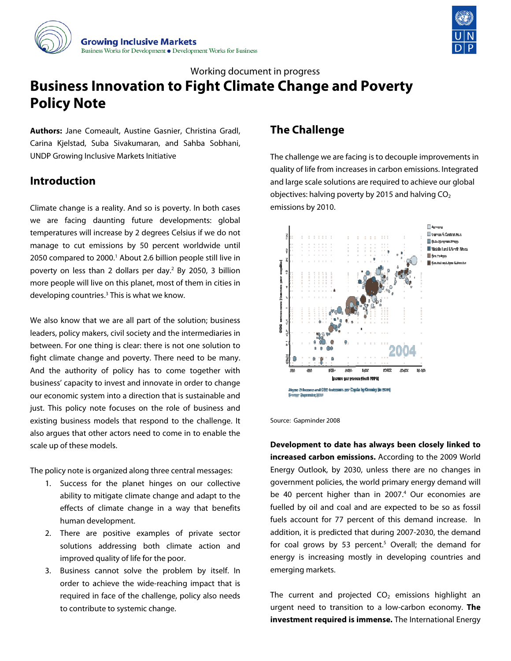



# **Business Innovation to Fight Climate Change and Poverty Policy Note** Working document in progress

Authors: Jane Comeault, Austine Gasnier, Christina Gradl, Carina Kjelstad, Suba Sivakumaran, and Sahba Sobhani, UNDP Growing Inclusive Markets Initiative

# **Intr roduction**

Clima ate change is a reality. And so is poverty. In both cases Climate change is a reality. And so is poverty. In both cases<br>we are facing daunting future developments: global temperatures will increase by 2 degrees Celsius if we do not<br>manage to cut emissions by 50 percent worldwide until manage to cut emissions by 50 percent worldwide unti 2050 compared to 2000.<sup>1</sup> About 2.6 billion people still live in poverty on less than 2 dollars per day.<sup>2</sup> By 2050, 3 billion more people will live on this planet, most of them in cities in developing countries.<sup>3</sup> This is what we know.

We also know that we are all part of the solution; business leaders, policy makers, civil society and the intermediaries in between. For one thing is clear: there is not one solution to fight climate change and poverty. There need to be many And the authority of policy has to come together with business' capacity to invest and innovate in order to change our economic system into a direction that is sustainable and just. This policy note focuses on the role of business and existing business models that respond to the challenge. It also argues that other actors need to come in to enable the scale up of these m models. in<br>in<br>ss<br>:0<br>:0<br>y.

The policy note is organized along three central messages:

- 1. Success for the planet hinges on our collective ability to m mitigate clima te change and d adapt to the effects of climate chan nge in a way that benefits human de velopment.
- 2. There are positive examples of private sector solutions addressing both climate e action and improved quality of life f for the poor.
- $3.$ 3. Business cannot solve the problem by itself. In order to achieve the wide-reaching impact that is required in face of the challenge, policy also needs to contribute to systemic change.

# **e Challeng ge**

The challenge we are facing is to decouple improvements in The challenge we are facing is to decouple improvements in<br>quality of life from increases in carbon emissions. Integrated and large scale solutions are required to achieve our global objectives: halving poverty by 2015 and halving CO $_{\rm 2}$ emis ssions by 2010 .



Source: Gapminder 2008

**Deve elopment to date has alw ways been clo sely linked to oincreased carbon emissions.** According to the 2009 World Ener gy Outlook, b by 2030, unle ss there are n no changes in government policies, the world primary energy demand wi be 40 percent higher than in 2007.<sup>4</sup> Our economies are be 40 percent higher than in 2007.<sup>4</sup> Our economies are<br>fuelled by oil and coal and are expected to be so as fossil fuels account for 77 percent of this demand increase. In addition, it is predicted that during 2007-2030, the demand for coal grows by 53 percent.<sup>5</sup> Overall; the demand fo energy is increasing mostly in developing countries and emer rging markets . d<br>n<br>ill ln<br>nd<br>or d<br>n

The current and projected  $CO<sub>2</sub>$  emissions highlight an urgent need to transition to a low-carbon economy. The **investment required is immense.** The International Energy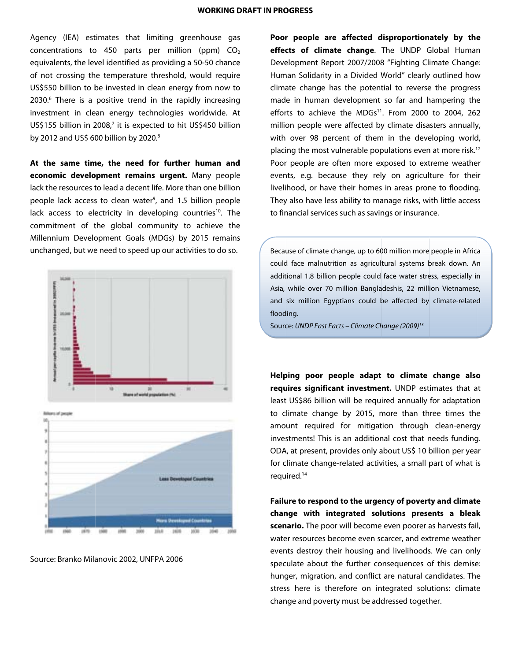Agency (IEA) estimates that limiting greenhouse gas concentrations to 450 parts per million (ppm)  $CO<sub>2</sub>$ equivalents, the level identified as providing a 50-50 chance of not crossing the temperature threshold, would require US\$550 billion to be invested in clean energy from now to 2030.<sup>6</sup> There is a positive trend in the rapidly increasing investment in clean energy technologies worldwide. At US\$155 billion in 2008,7 it is expected to hit US\$450 billion by 2012 and US\$ 600 billion by 2020.<sup>8</sup> is)2eeogtn

At the same time, the need for further human and **econ omic develo opment rema ains urgent.** Many people lack the resources to lead a decent life. More than one billion people lack access to clean water<sup>9</sup>, and 1.5 billion people lack access to electricity in developing countries<sup>10</sup>. The commitment of the global community to achieve the Millennium Development Goals (MDGs) by 2015 remains unchanged, but we need to speed up our activities to do so.





Source: Branko Milanovic 2002, UNFPA 2006

eneement<br>
eneement<br>
eneement<br>
eneement<br>
eneement<br>
eneement<br>
eneement<br>
eneement<br>
eneement<br>
eneement<br>
eneement<br>
eneement<br>
eneement<br>
eneement<br>
eneement<br>
eneement<br>
eneement<br>
eneement<br>
eneement<br>
eneement<br>
eneement<br>
en<br>
eneement **effects of climate change**. The UNDP Global Human **effects of climate change**. The UNDP Global Human<br>Development Report 2007/2008 "Fighting Climate Change: Human Solidarity in a Divided World" clearly outlined how Human Solidarity in a Divided World" clearly outlined how<br>climate change has the potential to reverse the progress made in human development so far and hampering the efforts to achieve the MDGs<sup>11</sup>. From 2000 to 2004, 262 efforts to achieve the MDGs<sup>11</sup>. From 2000 to 2004, 262<br>million people were affected by climate disasters annually, with over 98 percent of them in the developing world, placing the most vulnerable populations even at more risk.<sup>12</sup> Poor people are often more exposed to extreme weather events, e.g. because they rely on agriculture for their livelihood, or have their homes in areas prone to flooding. They also have less ability to manage risks, with little access to financial services such as savings or insurance. **r** people are affected disproportionately by the

> Because of climate change, up to 600 million more people in Africa could d face malnutri tion as agricul tural systems b break down. An additional 1.8 billion people could face water stress, especially in Asia, while over 70 million Bangladeshis, 22 million Vietnamese and six million Egyptians could be affected by climate-related flood ing. n<br>in<br>e,

Source: UNDP Fast Facts – Climate Change (2009)<sup>13</sup>

**Help ping poor pe eople adapt to climate change also o**requires significant investment. UNDP estimates that at least US\$86 billion will be required annually for adaptation to climate change by 2015, more than three times the amo unt required for mitigat tion through clean-energy investments! This is an additional cost that needs funding ODA, at present, provides only about US\$ 10 billion per year for climate change-related activities, a small part of what is requ ired.14 <sub>on</sub><br>ae<br>gy

Failure to respond to the urgency of poverty and climate Failure to respond to the urgency of poverty and climate<br>change with integrated solutions presents a bleak scenario. The poor will become even poorer as harvests fail, water resources become even scarcer, and extreme weather events destroy their housing and livelihoods. We can only events destroy their housing and livelihoods. We can only<br>speculate about the further consequences of this demise: hunger, migration, and conflict are natural candidates. The hunger, migration, and conflict are natural candidates. The<br>stress here is therefore on integrated solutions: climate change and poverty must be addressed together.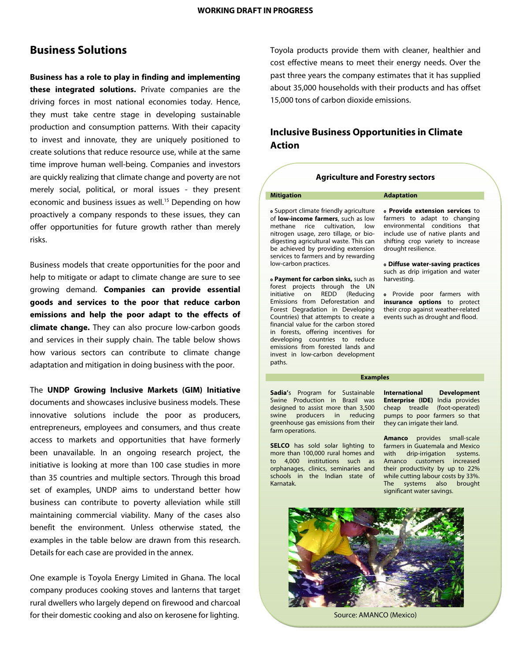# **Business Solutions**

**Business has a role to play in finding and implementing these integrated solutions.** Private companies are the driving forces in most national economies today. Hence, they must take centre stage in developing sustainable production and consumption patterns. With their capacity to invest and innovate, they are uniquely positioned to create solutions that reduce resource use, while at the same time improve human well-being. Companies and investors are quickly realizing that climate change and poverty are not merely social, political, or moral issues - they present economic and business issues as well.<sup>15</sup> Depending on how proactively a company responds to these issues, they can offer opportunities for future growth rather than merely risks.

Business models that create opportunities for the poor and help to mitigate or adapt to climate change are sure to see growing demand. **Companies can provide essential goods and services to the poor that reduce carbon emissions and help the poor adapt to the effects of climate change.** They can also procure low-carbon goods and services in their supply chain. The table below shows how various sectors can contribute to climate change adaptation and mitigation in doing business with the poor.

The **UNDP Growing Inclusive Markets (GIM) Initiative** documents and showcases inclusive business models. These innovative solutions include the poor as producers, entrepreneurs, employees and consumers, and thus create access to markets and opportunities that have formerly been unavailable. In an ongoing research project, the initiative is looking at more than 100 case studies in more than 35 countries and multiple sectors. Through this broad set of examples, UNDP aims to understand better how business can contribute to poverty alleviation while still maintaining commercial viability. Many of the cases also benefit the environment. Unless otherwise stated, the examples in the table below are drawn from this research. Details for each case are provided in the annex.

One example is Toyola Energy Limited in Ghana. The local company produces cooking stoves and lanterns that target rural dwellers who largely depend on firewood and charcoal for their domestic cooking and also on kerosene for lighting.

Toyola products provide them with cleaner, healthier and cost effective means to meet their energy needs. Over the past three years the company estimates that it has supplied about 35,000 households with their products and has offset 15,000 tons of carbon dioxide emissions.

## **Inclusive Business Opportunities in Climate Action**

### **Agriculture and Forestry sectors**

#### **Mitigation Adaptation**

Support climate friendly agriculture of **low-income farmers**, such as low methane rice cultivation, low nitrogen usage, zero tillage, or biodigesting agricultural waste. This can be achieved by providing extension services to farmers and by rewarding low-carbon practices.

 **Payment for carbon sinks,** such as forest projects through the UN initiative on REDD (Reducing Emissions from Deforestation and Forest Degradation in Developing Countries) that attempts to create a financial value for the carbon stored in forests, offering incentives for developing countries to reduce emissions from forested lands and invest in low-carbon development paths.

**Sadia'**s Program for Sustainable Swine Production in Brazil was designed to assist more than 3,500 swine producers in reducing greenhouse gas emissions from their

**SELCO** has sold solar lighting to more than 100,000 rural homes and to 4,000 institutions such as orphanages, clinics, seminaries and schools in the Indian state of

farm operations.

Karnatak.

 **Provide extension services** to farmers to adapt to changing environmental conditions that include use of native plants and shifting crop variety to increase drought resilience.

 **Diffuse water-saving practices**  such as drip irrigation and water harvesting.

Provide poor farmers with **insurance options** to protect their crop against weather-related events such as drought and flood.

#### **Examples**

**International Development Enterprise (IDE)** India provides cheap treadle (foot-operated) pumps to poor farmers so that they can irrigate their land.

**Amanco** provides small-scale farmers in Guatemala and Mexico with drip-irrigation systems. Amanco customers increased their productivity by up to 22% while cutting labour costs by 33%. The systems also brought significant water savings.



Source: AMANCO (Mexico)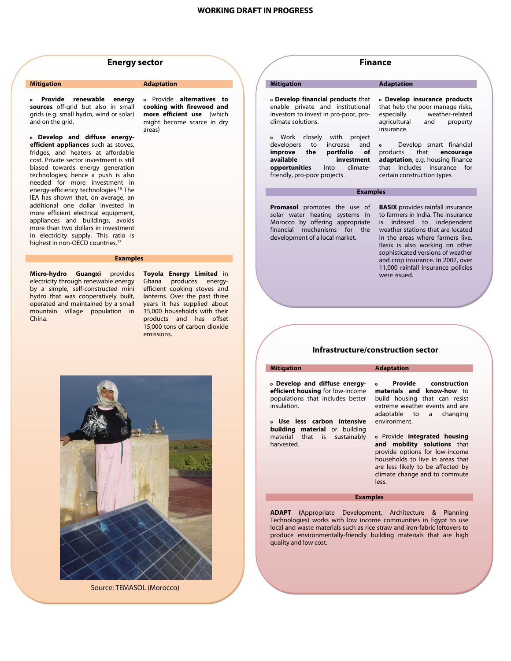

#### **Mitigation Adaptation Adaptation**

 **Provide renewable energy sources** off-grid but also in small grids (e.g. small hydro, wind or solar) and on the grid.

 **Develop and diffuse energyefficient appliances** such as stoves, fridges, and heaters at affordable cost. Private sector investment is still biased towards energy generation technologies; hence a push is also needed for more investment in energy-efficiency technologies.16 The IEA has shown that, on average, an additional one dollar invested in more efficient electrical equipment, appliances and buildings, avoids more than two dollars in investment in electricity supply. This ratio is highest in non-OECD countries.<sup>17</sup>

#### Provide **alternatives to cooking with firewood and more efficient use** (which might become scarce in dry areas)

### **Examples**

**Micro-hydro Guangxi** provides electricity through renewable energy by a simple, self-constructed mini hydro that was cooperatively built, operated and maintained by a small mountain village population in China.

**Toyola Energy Limited** in Ghana produces energyefficient cooking stoves and lanterns. Over the past three years it has supplied about 35,000 households with their products and has offset 15,000 tons of carbon dioxide emissions.



Source: TEMASOL (Morocco)

## **Finance**

 **Develop financial products** that enable private and institutional investors to invest in pro-poor, proclimate solutions.

**•** Work closely with project developers to increase and **improve the portfolio of available investment**<br> **opportunities** into climate**opportunities** into climatefriendly, pro-poor projects.

**Promasol** promotes the use of solar water heating systems in Morocco by offering appropriate financial mechanisms for the development of a local market.

#### **Mitigation Adaptation**

 **Develop insurance products** that help the poor manage risks,<br>especially weather-related weather-related agricultural and property insurance.

Develop smart financial products that **encourage adaptation**, e.g. housing finance that includes insurance for certain construction types.

#### **Examples**

**BASIX** provides rainfall insurance to farmers in India. The insurance is indexed to independent weather stations that are located in the areas where farmers live. Basix is also working on other sophisticated versions of weather and crop insurance. In 2007, over 11,000 rainfall insurance policies were issued.

### **Infrastructure/construction sector**

### **Mitigation Adaptation**

 **Develop and diffuse energyefficient housing** for low-income populations that includes better insulation.

 **Use less carbon intensive building material** or building material that is sustainably harvested.

#### **Provide construction materials and know-how** to build housing that can resist extreme weather events and are adaptable to a changing environment.

Provide **integrated housing and mobility solutions** that provide options for low-income households to live in areas that are less likely to be affected by climate change and to commute less.

#### **Examples**

**ADAPT (**Appropriate Development, Architecture & Planning Technologies) works with low income communities in Egypt to use local and waste materials such as rice straw and iron-fabric leftovers to produce environmentally-friendly building materials that are high quality and low cost.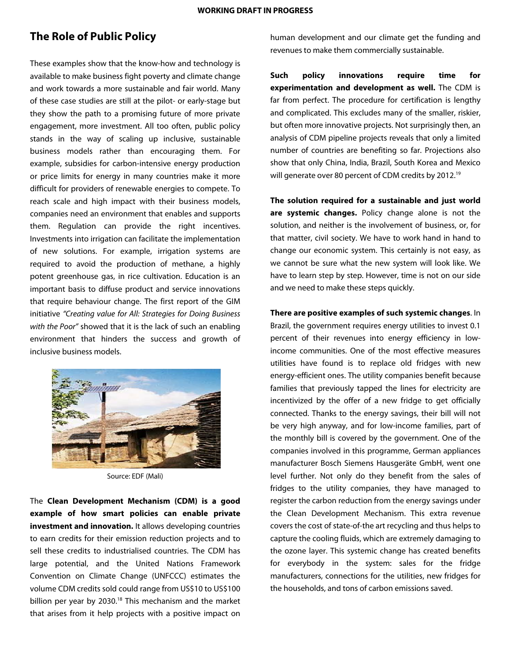# **The Role of Public Policy**

These examples show that the know-how and technology is available to make business fight poverty and climate change and work towards a more sustainable and fair world. Many of these case studies are still at the pilot- or early-stage but they show the path to a promising future of more private engagement, more investment. All too often, public policy stands in the way of scaling up inclusive, sustainable business models rather than encouraging them. For example, subsidies for carbon-intensive energy production or price limits for energy in many countries make it more difficult for providers of renewable energies to compete. To reach scale and high impact with their business models, companies need an environment that enables and supports them. Regulation can provide the right incentives. Investments into irrigation can facilitate the implementation of new solutions. For example, irrigation systems are required to avoid the production of methane, a highly potent greenhouse gas, in rice cultivation. Education is an important basis to diffuse product and service innovations that require behaviour change. The first report of the GIM initiative "Creating value for All: Strategies for Doing Business with the Poor" showed that it is the lack of such an enabling environment that hinders the success and growth of inclusive business models.



Source: EDF (Mali)

The **Clean Development Mechanism (CDM) is a good example of how smart policies can enable private investment and innovation.** It allows developing countries to earn credits for their emission reduction projects and to sell these credits to industrialised countries. The CDM has large potential, and the United Nations Framework Convention on Climate Change (UNFCCC) estimates the volume CDM credits sold could range from US\$10 to US\$100 billion per year by 2030.<sup>18</sup> This mechanism and the market that arises from it help projects with a positive impact on

human development and our climate get the funding and revenues to make them commercially sustainable.

**Such policy innovations require time for experimentation and development as well.** The CDM is far from perfect. The procedure for certification is lengthy and complicated. This excludes many of the smaller, riskier, but often more innovative projects. Not surprisingly then, an analysis of CDM pipeline projects reveals that only a limited number of countries are benefiting so far. Projections also show that only China, India, Brazil, South Korea and Mexico will generate over 80 percent of CDM credits by 2012.<sup>19</sup>

**The solution required for a sustainable and just world are systemic changes.** Policy change alone is not the solution, and neither is the involvement of business, or, for that matter, civil society. We have to work hand in hand to change our economic system. This certainly is not easy, as we cannot be sure what the new system will look like. We have to learn step by step. However, time is not on our side and we need to make these steps quickly.

**There are positive examples of such systemic changes**. In Brazil, the government requires energy utilities to invest 0.1 percent of their revenues into energy efficiency in lowincome communities. One of the most effective measures utilities have found is to replace old fridges with new energy-efficient ones. The utility companies benefit because families that previously tapped the lines for electricity are incentivized by the offer of a new fridge to get officially connected. Thanks to the energy savings, their bill will not be very high anyway, and for low-income families, part of the monthly bill is covered by the government. One of the companies involved in this programme, German appliances manufacturer Bosch Siemens Hausgeräte GmbH, went one level further. Not only do they benefit from the sales of fridges to the utility companies, they have managed to register the carbon reduction from the energy savings under the Clean Development Mechanism. This extra revenue covers the cost of state-of-the art recycling and thus helps to capture the cooling fluids, which are extremely damaging to the ozone layer. This systemic change has created benefits for everybody in the system: sales for the fridge manufacturers, connections for the utilities, new fridges for the households, and tons of carbon emissions saved.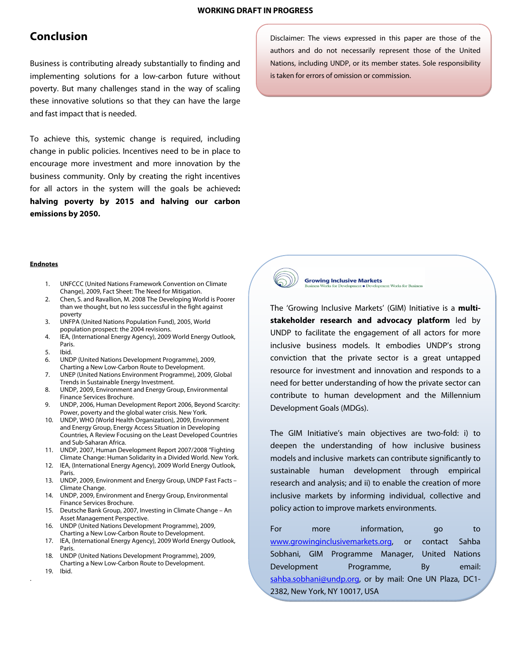# **Conclusion**

Business is contributing already substantially to finding and implementing solutions for a low-carbon future without poverty. But many challenges stand in the way of scaling these innovative solutions so that they can have the large and fast impact that is needed.

To achieve this, systemic change is required, including change in public policies. Incentives need to be in place to encourage more investment and more innovation by the business community. Only by creating the right incentives for all actors in the system will the goals be achieved**: halving poverty by 2015 and halving our carbon emissions by 2050.** 

Disclaimer: The views expressed in this paper are those of the authors and do not necessarily represent those of the United Nations, including UNDP, or its member states. Sole responsibility is taken for errors of omission or commission.

#### **Endnotes**

- 1. UNFCCC (United Nations Framework Convention on Climate Change), 2009, Fact Sheet: The Need for Mitigation.
- 2. Chen, S. and Ravallion, M. 2008 The Developing World is Poorer than we thought, but no less successful in the fight against poverty
- 3. UNFPA (United Nations Population Fund), 2005, World population prospect: the 2004 revisions.
- 4. IEA, (International Energy Agency), 2009 World Energy Outlook, Paris.
- 5. Ibid.
- 6. UNDP (United Nations Development Programme), 2009, Charting a New Low-Carbon Route to Development.
- 7. UNEP (United Nations Environment Programme), 2009, Global Trends in Sustainable Energy Investment.
- 8. UNDP, 2009, Environment and Energy Group, Environmental Finance Services Brochure.
- 9. UNDP, 2006, Human Development Report 2006, Beyond Scarcity: Power, poverty and the global water crisis. New York.
- 10. UNDP, WHO (World Health Organization), 2009, Environment and Energy Group, Energy Access Situation in Developing Countries, A Review Focusing on the Least Developed Countries and Sub-Saharan Africa.
- 11. UNDP, 2007, Human Development Report 2007/2008 "Fighting Climate Change: Human Solidarity in a Divided World. New York.
- 12. IEA, (International Energy Agency), 2009 World Energy Outlook, Paris.
- 13. UNDP, 2009, Environment and Energy Group, UNDP Fast Facts Climate Change.
- 14. UNDP, 2009, Environment and Energy Group, Environmental Finance Services Brochure.
- 15. Deutsche Bank Group, 2007, Investing in Climate Change An Asset Management Perspective.
- 16. UNDP (United Nations Development Programme), 2009, Charting a New Low-Carbon Route to Development.
- 17. IEA, (International Energy Agency), 2009 World Energy Outlook, Paris.
- 18. UNDP (United Nations Development Programme), 2009, Charting a New Low-Carbon Route to Development.
- 19. Ibid.

.



**Growing Inclusive Markets Works for Business** 

The 'Growing Inclusive Markets' (GIM) Initiative is a **multistakeholder research and advocacy platform** led by UNDP to facilitate the engagement of all actors for more inclusive business models. It embodies UNDP's strong conviction that the private sector is a great untapped resource for investment and innovation and responds to a need for better understanding of how the private sector can contribute to human development and the Millennium Development Goals (MDGs).

The GIM Initiative's main objectives are two-fold: i) to deepen the understanding of how inclusive business models and inclusive markets can contribute significantly to sustainable human development through empirical research and analysis; and ii) to enable the creation of more inclusive markets by informing individual, collective and policy action to improve markets environments.

For more information, go to www.growinginclusivemarkets.org, or contact Sahba Sobhani, GIM Programme Manager, United Nations Development Programme, By email: sahba.sobhani@undp.org, or by mail: One UN Plaza, DC1-2382, New York, NY 10017, USA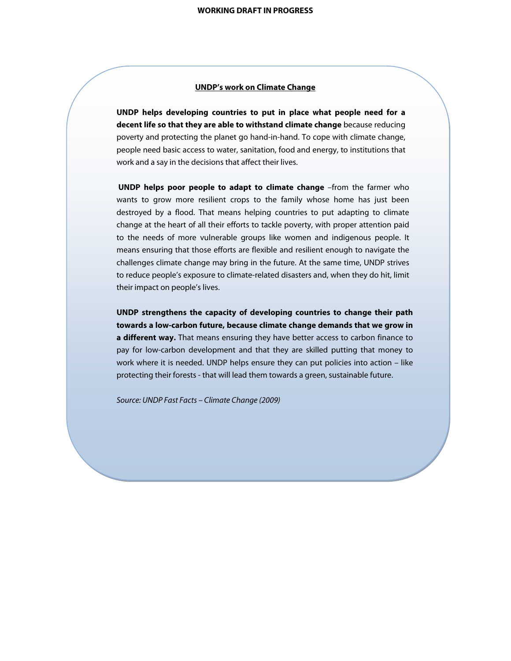## **UNDP's work on Climate Change**

**UNDP helps developing countries to put in place what people need for a decent life so that they are able to withstand climate change** because reducing poverty and protecting the planet go hand-in-hand. To cope with climate change, people need basic access to water, sanitation, food and energy, to institutions that work and a say in the decisions that affect their lives.

**UNDP helps poor people to adapt to climate change** –from the farmer who wants to grow more resilient crops to the family whose home has just been destroyed by a flood. That means helping countries to put adapting to climate change at the heart of all their efforts to tackle poverty, with proper attention paid to the needs of more vulnerable groups like women and indigenous people. It means ensuring that those efforts are flexible and resilient enough to navigate the challenges climate change may bring in the future. At the same time, UNDP strives to reduce people's exposure to climate-related disasters and, when they do hit, limit their impact on people's lives.

**UNDP strengthens the capacity of developing countries to change their path towards a low-carbon future, because climate change demands that we grow in a different way.** That means ensuring they have better access to carbon finance to pay for low-carbon development and that they are skilled putting that money to work where it is needed. UNDP helps ensure they can put policies into action – like protecting their forests - that will lead them towards a green, sustainable future.

Source: UNDP Fast Facts – Climate Change (2009)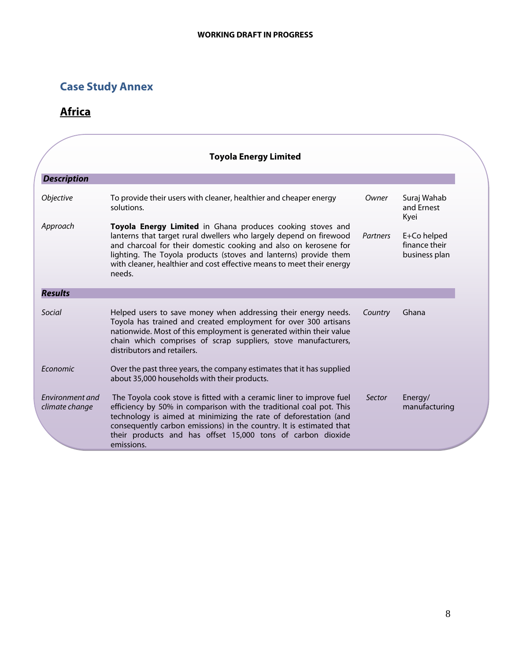# **Case Study Annex**

# **Africa**

|                                   | <b>Toyola Energy Limited</b>                                                                                                                                                                                                                                                                                                                                        |          |                                               |
|-----------------------------------|---------------------------------------------------------------------------------------------------------------------------------------------------------------------------------------------------------------------------------------------------------------------------------------------------------------------------------------------------------------------|----------|-----------------------------------------------|
| <b>Description</b>                |                                                                                                                                                                                                                                                                                                                                                                     |          |                                               |
| <i><b>Objective</b></i>           | To provide their users with cleaner, healthier and cheaper energy<br>solutions.                                                                                                                                                                                                                                                                                     | Owner    | Suraj Wahab<br>and Ernest<br>Kyei             |
| Approach                          | Toyola Energy Limited in Ghana produces cooking stoves and<br>lanterns that target rural dwellers who largely depend on firewood<br>and charcoal for their domestic cooking and also on kerosene for<br>lighting. The Toyola products (stoves and lanterns) provide them<br>with cleaner, healthier and cost effective means to meet their energy<br>needs.         | Partners | E+Co helped<br>finance their<br>business plan |
| <b>Results</b>                    |                                                                                                                                                                                                                                                                                                                                                                     |          |                                               |
| Social                            | Helped users to save money when addressing their energy needs.<br>Toyola has trained and created employment for over 300 artisans<br>nationwide. Most of this employment is generated within their value<br>chain which comprises of scrap suppliers, stove manufacturers,<br>distributors and retailers.                                                           | Country  | Ghana                                         |
| Economic                          | Over the past three years, the company estimates that it has supplied<br>about 35,000 households with their products.                                                                                                                                                                                                                                               |          |                                               |
| Environment and<br>climate change | The Toyola cook stove is fitted with a ceramic liner to improve fuel<br>efficiency by 50% in comparison with the traditional coal pot. This<br>technology is aimed at minimizing the rate of deforestation (and<br>consequently carbon emissions) in the country. It is estimated that<br>their products and has offset 15,000 tons of carbon dioxide<br>emissions. | Sector   | Energy/<br>manufacturing                      |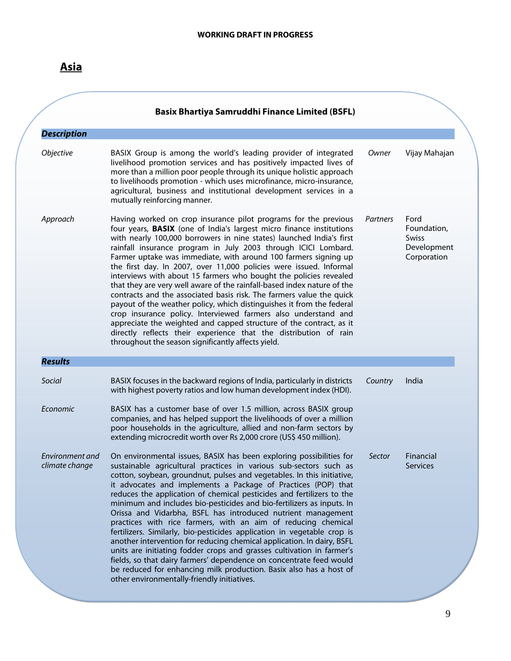|                                   | <b>Basix Bhartiya Samruddhi Finance Limited (BSFL)</b>                                                                                                                                                                                                                                                                                                                                                                                                                                                                                                                                                                                                                                                                                                                                                                                                                                                                                                                                                |          |                                                                   |
|-----------------------------------|-------------------------------------------------------------------------------------------------------------------------------------------------------------------------------------------------------------------------------------------------------------------------------------------------------------------------------------------------------------------------------------------------------------------------------------------------------------------------------------------------------------------------------------------------------------------------------------------------------------------------------------------------------------------------------------------------------------------------------------------------------------------------------------------------------------------------------------------------------------------------------------------------------------------------------------------------------------------------------------------------------|----------|-------------------------------------------------------------------|
| <b>Description</b><br>Objective   | BASIX Group is among the world's leading provider of integrated<br>livelihood promotion services and has positively impacted lives of<br>more than a million poor people through its unique holistic approach<br>to livelihoods promotion - which uses microfinance, micro-insurance,<br>agricultural, business and institutional development services in a<br>mutually reinforcing manner.                                                                                                                                                                                                                                                                                                                                                                                                                                                                                                                                                                                                           | Owner    | Vijay Mahajan                                                     |
| Approach                          | Having worked on crop insurance pilot programs for the previous<br>four years, <b>BASIX</b> (one of India's largest micro finance institutions<br>with nearly 100,000 borrowers in nine states) launched India's first<br>rainfall insurance program in July 2003 through ICICI Lombard.<br>Farmer uptake was immediate, with around 100 farmers signing up<br>the first day. In 2007, over 11,000 policies were issued. Informal<br>interviews with about 15 farmers who bought the policies revealed<br>that they are very well aware of the rainfall-based index nature of the<br>contracts and the associated basis risk. The farmers value the quick<br>payout of the weather policy, which distinguishes it from the federal<br>crop insurance policy. Interviewed farmers also understand and<br>appreciate the weighted and capped structure of the contract, as it<br>directly reflects their experience that the distribution of rain<br>throughout the season significantly affects yield. | Partners | Ford<br>Foundation,<br><b>Swiss</b><br>Development<br>Corporation |
| <b>Results</b>                    |                                                                                                                                                                                                                                                                                                                                                                                                                                                                                                                                                                                                                                                                                                                                                                                                                                                                                                                                                                                                       |          |                                                                   |
| Social                            | BASIX focuses in the backward regions of India, particularly in districts<br>with highest poverty ratios and low human development index (HDI).                                                                                                                                                                                                                                                                                                                                                                                                                                                                                                                                                                                                                                                                                                                                                                                                                                                       | Country  | India                                                             |
| Economic                          | BASIX has a customer base of over 1.5 million, across BASIX group<br>companies, and has helped support the livelihoods of over a million<br>poor households in the agriculture, allied and non-farm sectors by<br>extending microcredit worth over Rs 2,000 crore (US\$ 450 million).                                                                                                                                                                                                                                                                                                                                                                                                                                                                                                                                                                                                                                                                                                                 |          |                                                                   |
| Environment and<br>climate change | On environmental issues, BASIX has been exploring possibilities for<br>sustainable agricultural practices in various sub-sectors such as<br>cotton, soybean, groundnut, pulses and vegetables. In this initiative,<br>it advocates and implements a Package of Practices (POP) that<br>reduces the application of chemical pesticides and fertilizers to the<br>minimum and includes bio-pesticides and bio-fertilizers as inputs. In<br>Orissa and Vidarbha, BSFL has introduced nutrient management<br>practices with rice farmers, with an aim of reducing chemical<br>fertilizers. Similarly, bio-pesticides application in vegetable crop is<br>another intervention for reducing chemical application. In dairy, BSFL<br>units are initiating fodder crops and grasses cultivation in farmer's<br>fields, so that dairy farmers' dependence on concentrate feed would<br>be reduced for enhancing milk production. Basix also has a host of<br>other environmentally-friendly initiatives.      | Sector   | Financial<br><b>Services</b>                                      |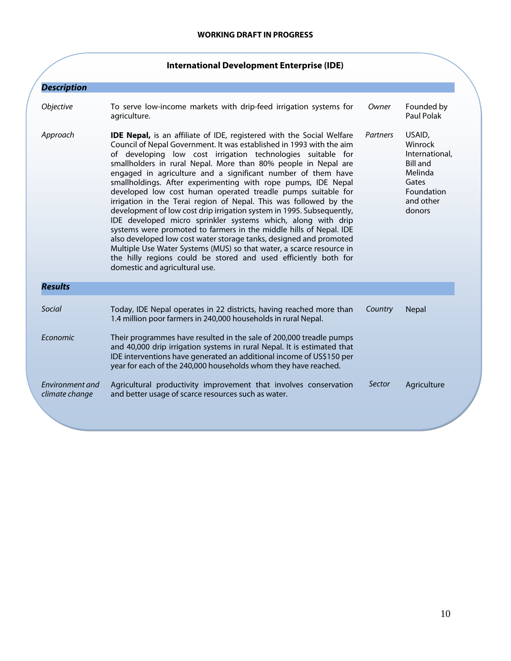|                                   | <b>International Development Enterprise (IDE)</b>                                                                                                                                                                                                                                                                                                                                                                                                                                                                                                                                                                                                                                                                                                                                                                                                                                                                                                                                                                             |          |                                                                                                                 |
|-----------------------------------|-------------------------------------------------------------------------------------------------------------------------------------------------------------------------------------------------------------------------------------------------------------------------------------------------------------------------------------------------------------------------------------------------------------------------------------------------------------------------------------------------------------------------------------------------------------------------------------------------------------------------------------------------------------------------------------------------------------------------------------------------------------------------------------------------------------------------------------------------------------------------------------------------------------------------------------------------------------------------------------------------------------------------------|----------|-----------------------------------------------------------------------------------------------------------------|
| <b>Description</b>                |                                                                                                                                                                                                                                                                                                                                                                                                                                                                                                                                                                                                                                                                                                                                                                                                                                                                                                                                                                                                                               |          |                                                                                                                 |
| Objective                         | To serve low-income markets with drip-feed irrigation systems for<br>agriculture.                                                                                                                                                                                                                                                                                                                                                                                                                                                                                                                                                                                                                                                                                                                                                                                                                                                                                                                                             | Owner    | Founded by<br>Paul Polak                                                                                        |
| Approach                          | <b>IDE Nepal,</b> is an affiliate of IDE, registered with the Social Welfare<br>Council of Nepal Government. It was established in 1993 with the aim<br>of developing low cost irrigation technologies suitable for<br>smallholders in rural Nepal. More than 80% people in Nepal are<br>engaged in agriculture and a significant number of them have<br>smallholdings. After experimenting with rope pumps, IDE Nepal<br>developed low cost human operated treadle pumps suitable for<br>irrigation in the Terai region of Nepal. This was followed by the<br>development of low cost drip irrigation system in 1995. Subsequently,<br>IDE developed micro sprinkler systems which, along with drip<br>systems were promoted to farmers in the middle hills of Nepal. IDE<br>also developed low cost water storage tanks, designed and promoted<br>Multiple Use Water Systems (MUS) so that water, a scarce resource in<br>the hilly regions could be stored and used efficiently both for<br>domestic and agricultural use. | Partners | USAID,<br>Winrock<br>International,<br><b>Bill and</b><br>Melinda<br>Gates<br>Foundation<br>and other<br>donors |
| <b>Results</b>                    |                                                                                                                                                                                                                                                                                                                                                                                                                                                                                                                                                                                                                                                                                                                                                                                                                                                                                                                                                                                                                               |          |                                                                                                                 |
| Social                            | Today, IDE Nepal operates in 22 districts, having reached more than<br>1.4 million poor farmers in 240,000 households in rural Nepal.                                                                                                                                                                                                                                                                                                                                                                                                                                                                                                                                                                                                                                                                                                                                                                                                                                                                                         | Country  | <b>Nepal</b>                                                                                                    |
| Economic                          | Their programmes have resulted in the sale of 200,000 treadle pumps<br>and 40,000 drip irrigation systems in rural Nepal. It is estimated that<br>IDE interventions have generated an additional income of US\$150 per<br>year for each of the 240,000 households whom they have reached.                                                                                                                                                                                                                                                                                                                                                                                                                                                                                                                                                                                                                                                                                                                                     |          |                                                                                                                 |
| Environment and<br>climate change | Agricultural productivity improvement that involves conservation<br>and better usage of scarce resources such as water.                                                                                                                                                                                                                                                                                                                                                                                                                                                                                                                                                                                                                                                                                                                                                                                                                                                                                                       | Sector   | Agriculture                                                                                                     |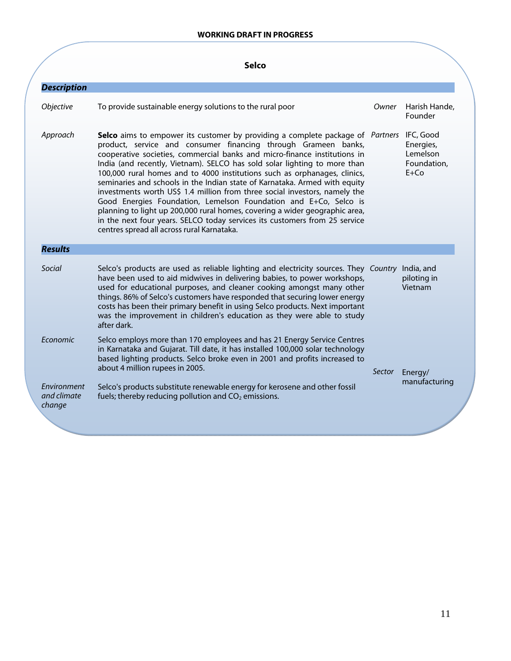## **WORKING DRAFT IN PROGRESS**

|                                             | <b>Selco</b>                                                                                                                                                                                                                                                                                                                                                                                                                                                                                                                                                                                                                                                                                                                                                                                                                                 |        |                                                  |
|---------------------------------------------|----------------------------------------------------------------------------------------------------------------------------------------------------------------------------------------------------------------------------------------------------------------------------------------------------------------------------------------------------------------------------------------------------------------------------------------------------------------------------------------------------------------------------------------------------------------------------------------------------------------------------------------------------------------------------------------------------------------------------------------------------------------------------------------------------------------------------------------------|--------|--------------------------------------------------|
| <b>Description</b>                          |                                                                                                                                                                                                                                                                                                                                                                                                                                                                                                                                                                                                                                                                                                                                                                                                                                              |        |                                                  |
| Objective                                   | To provide sustainable energy solutions to the rural poor                                                                                                                                                                                                                                                                                                                                                                                                                                                                                                                                                                                                                                                                                                                                                                                    | Owner  | Harish Hande,<br>Founder                         |
| Approach                                    | Selco aims to empower its customer by providing a complete package of Partners IFC, Good<br>product, service and consumer financing through Grameen banks,<br>cooperative societies, commercial banks and micro-finance institutions in<br>India (and recently, Vietnam). SELCO has sold solar lighting to more than<br>100,000 rural homes and to 4000 institutions such as orphanages, clinics,<br>seminaries and schools in the Indian state of Karnataka. Armed with equity<br>investments worth US\$ 1.4 million from three social investors, namely the<br>Good Energies Foundation, Lemelson Foundation and E+Co, Selco is<br>planning to light up 200,000 rural homes, covering a wider geographic area,<br>in the next four years. SELCO today services its customers from 25 service<br>centres spread all across rural Karnataka. |        | Energies,<br>Lemelson<br>Foundation,<br>$E + Co$ |
| <b>Results</b>                              |                                                                                                                                                                                                                                                                                                                                                                                                                                                                                                                                                                                                                                                                                                                                                                                                                                              |        |                                                  |
| Social                                      | Selco's products are used as reliable lighting and electricity sources. They Country<br>have been used to aid midwives in delivering babies, to power workshops,<br>used for educational purposes, and cleaner cooking amongst many other<br>things. 86% of Selco's customers have responded that securing lower energy<br>costs has been their primary benefit in using Selco products. Next important<br>was the improvement in children's education as they were able to study<br>after dark.                                                                                                                                                                                                                                                                                                                                             |        | India, and<br>piloting in<br>Vietnam             |
| Economic                                    | Selco employs more than 170 employees and has 21 Energy Service Centres<br>in Karnataka and Gujarat. Till date, it has installed 100,000 solar technology<br>based lighting products. Selco broke even in 2001 and profits increased to<br>about 4 million rupees in 2005.                                                                                                                                                                                                                                                                                                                                                                                                                                                                                                                                                                   | Sector | Energy/                                          |
| <b>Fnvironment</b><br>and climate<br>change | Selco's products substitute renewable energy for kerosene and other fossil<br>fuels; thereby reducing pollution and $CO2$ emissions.                                                                                                                                                                                                                                                                                                                                                                                                                                                                                                                                                                                                                                                                                                         |        | manufacturing                                    |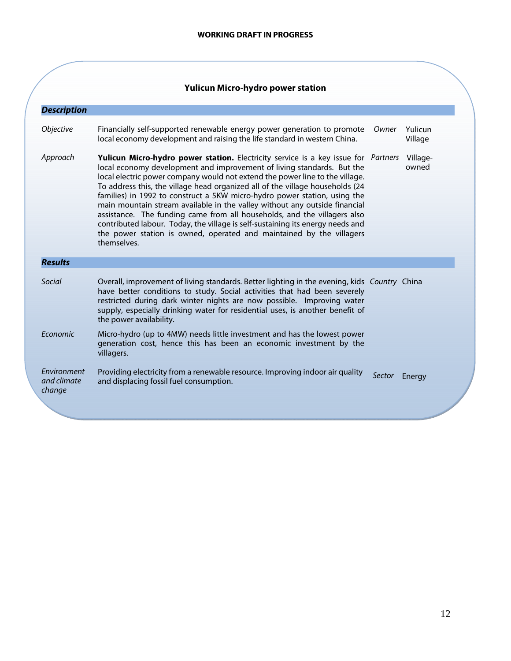# **Yulicun Micro-hydro power station**

| <b>Description</b>                   |                                                                                                                                                                                                                                                                                                                                                                                                                                                                                                                                                                                                                                                                                                                                                      |        |                    |
|--------------------------------------|------------------------------------------------------------------------------------------------------------------------------------------------------------------------------------------------------------------------------------------------------------------------------------------------------------------------------------------------------------------------------------------------------------------------------------------------------------------------------------------------------------------------------------------------------------------------------------------------------------------------------------------------------------------------------------------------------------------------------------------------------|--------|--------------------|
| <i><b>Objective</b></i>              | Financially self-supported renewable energy power generation to promote<br>local economy development and raising the life standard in western China.                                                                                                                                                                                                                                                                                                                                                                                                                                                                                                                                                                                                 | Owner  | Yulicun<br>Village |
| Approach                             | Yulicun Micro-hydro power station. Electricity service is a key issue for <i>Partners</i><br>local economy development and improvement of living standards. But the<br>local electric power company would not extend the power line to the village.<br>To address this, the village head organized all of the village households (24<br>families) in 1992 to construct a 5KW micro-hydro power station, using the<br>main mountain stream available in the valley without any outside financial<br>assistance. The funding came from all households, and the villagers also<br>contributed labour. Today, the village is self-sustaining its energy needs and<br>the power station is owned, operated and maintained by the villagers<br>themselves. |        | Village-<br>owned  |
| <b>Results</b>                       |                                                                                                                                                                                                                                                                                                                                                                                                                                                                                                                                                                                                                                                                                                                                                      |        |                    |
| Social                               | Overall, improvement of living standards. Better lighting in the evening, kids Country China<br>have better conditions to study. Social activities that had been severely<br>restricted during dark winter nights are now possible. Improving water<br>supply, especially drinking water for residential uses, is another benefit of<br>the power availability.                                                                                                                                                                                                                                                                                                                                                                                      |        |                    |
| Economic                             | Micro-hydro (up to 4MW) needs little investment and has the lowest power<br>generation cost, hence this has been an economic investment by the<br>villagers.                                                                                                                                                                                                                                                                                                                                                                                                                                                                                                                                                                                         |        |                    |
| Environment<br>and climate<br>change | Providing electricity from a renewable resource. Improving indoor air quality<br>and displacing fossil fuel consumption.                                                                                                                                                                                                                                                                                                                                                                                                                                                                                                                                                                                                                             | Sector | Energy             |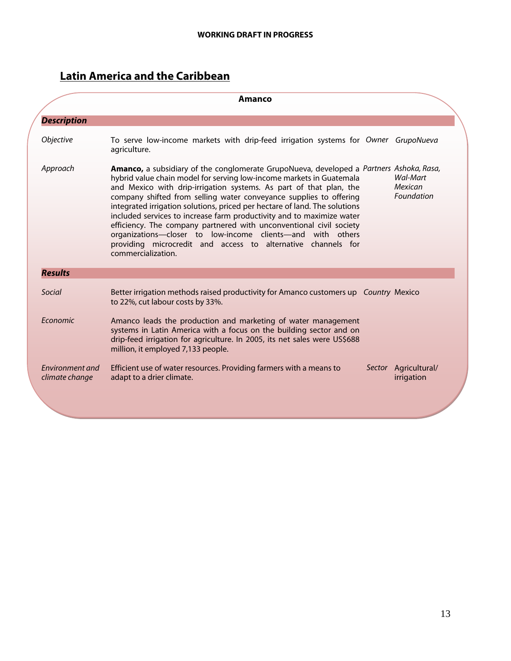# **Latin America and the Caribbean**

|                                   | Amanco                                                                                                                                                                                                                                                                                                                                                                                                                                                                                                                                                                                                                                                                                               |                                          |
|-----------------------------------|------------------------------------------------------------------------------------------------------------------------------------------------------------------------------------------------------------------------------------------------------------------------------------------------------------------------------------------------------------------------------------------------------------------------------------------------------------------------------------------------------------------------------------------------------------------------------------------------------------------------------------------------------------------------------------------------------|------------------------------------------|
| <b>Description</b>                |                                                                                                                                                                                                                                                                                                                                                                                                                                                                                                                                                                                                                                                                                                      |                                          |
| Objective                         | To serve low-income markets with drip-feed irrigation systems for Owner GrupoNueva<br>agriculture.                                                                                                                                                                                                                                                                                                                                                                                                                                                                                                                                                                                                   |                                          |
| Approach                          | <b>Amanco,</b> a subsidiary of the conglomerate GrupoNueva, developed a Partners Ashoka, Rasa,<br>hybrid value chain model for serving low-income markets in Guatemala<br>and Mexico with drip-irrigation systems. As part of that plan, the<br>company shifted from selling water conveyance supplies to offering<br>integrated irrigation solutions, priced per hectare of land. The solutions<br>included services to increase farm productivity and to maximize water<br>efficiency. The company partnered with unconventional civil society<br>organizations-closer to low-income clients-and with others<br>providing microcredit and access to alternative channels for<br>commercialization. | <b>Wal-Mart</b><br>Mexican<br>Foundation |
| <b>Results</b>                    |                                                                                                                                                                                                                                                                                                                                                                                                                                                                                                                                                                                                                                                                                                      |                                          |
| Social                            | Better irrigation methods raised productivity for Amanco customers up Country Mexico<br>to 22%, cut labour costs by 33%.                                                                                                                                                                                                                                                                                                                                                                                                                                                                                                                                                                             |                                          |
| Economic                          | Amanco leads the production and marketing of water management<br>systems in Latin America with a focus on the building sector and on<br>drip-feed irrigation for agriculture. In 2005, its net sales were US\$688<br>million, it employed 7,133 people.                                                                                                                                                                                                                                                                                                                                                                                                                                              |                                          |
| Environment and<br>climate change | Efficient use of water resources. Providing farmers with a means to<br>adapt to a drier climate.                                                                                                                                                                                                                                                                                                                                                                                                                                                                                                                                                                                                     | Sector Agricultural/<br>irrigation       |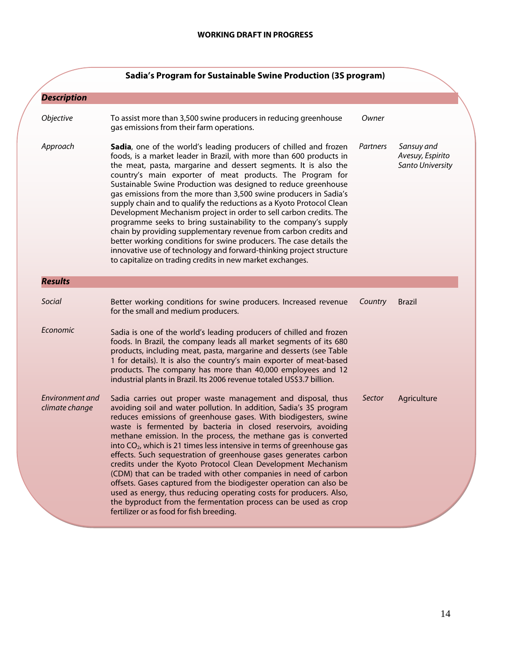|                                   | Sadia's Program for Sustainable Swine Production (3S program)                                                                                                                                                                                                                                                                                                                                                                                                                                                                                                                                                                                                                                                                                                                                                                                                                                                   |          |                                                    |
|-----------------------------------|-----------------------------------------------------------------------------------------------------------------------------------------------------------------------------------------------------------------------------------------------------------------------------------------------------------------------------------------------------------------------------------------------------------------------------------------------------------------------------------------------------------------------------------------------------------------------------------------------------------------------------------------------------------------------------------------------------------------------------------------------------------------------------------------------------------------------------------------------------------------------------------------------------------------|----------|----------------------------------------------------|
| <b>Description</b>                |                                                                                                                                                                                                                                                                                                                                                                                                                                                                                                                                                                                                                                                                                                                                                                                                                                                                                                                 |          |                                                    |
| Objective                         | To assist more than 3,500 swine producers in reducing greenhouse<br>gas emissions from their farm operations.                                                                                                                                                                                                                                                                                                                                                                                                                                                                                                                                                                                                                                                                                                                                                                                                   | Owner    |                                                    |
| Approach                          | Sadia, one of the world's leading producers of chilled and frozen<br>foods, is a market leader in Brazil, with more than 600 products in<br>the meat, pasta, margarine and dessert segments. It is also the<br>country's main exporter of meat products. The Program for<br>Sustainable Swine Production was designed to reduce greenhouse<br>gas emissions from the more than 3,500 swine producers in Sadia's<br>supply chain and to qualify the reductions as a Kyoto Protocol Clean<br>Development Mechanism project in order to sell carbon credits. The<br>programme seeks to bring sustainability to the company's supply<br>chain by providing supplementary revenue from carbon credits and<br>better working conditions for swine producers. The case details the<br>innovative use of technology and forward-thinking project structure<br>to capitalize on trading credits in new market exchanges. | Partners | Sansuy and<br>Avesuy, Espirito<br>Santo University |
| <b>Results</b>                    |                                                                                                                                                                                                                                                                                                                                                                                                                                                                                                                                                                                                                                                                                                                                                                                                                                                                                                                 |          |                                                    |
| Social                            | Better working conditions for swine producers. Increased revenue<br>for the small and medium producers.                                                                                                                                                                                                                                                                                                                                                                                                                                                                                                                                                                                                                                                                                                                                                                                                         | Country  | <b>Brazil</b>                                      |
| Economic                          | Sadia is one of the world's leading producers of chilled and frozen<br>foods. In Brazil, the company leads all market segments of its 680<br>products, including meat, pasta, margarine and desserts (see Table<br>1 for details). It is also the country's main exporter of meat-based<br>products. The company has more than 40,000 employees and 12<br>industrial plants in Brazil. Its 2006 revenue totaled US\$3.7 billion.                                                                                                                                                                                                                                                                                                                                                                                                                                                                                |          |                                                    |
| Environment and<br>climate change | Sadia carries out proper waste management and disposal, thus<br>avoiding soil and water pollution. In addition, Sadia's 3S program<br>reduces emissions of greenhouse gases. With biodigesters, swine<br>waste is fermented by bacteria in closed reservoirs, avoiding<br>methane emission. In the process, the methane gas is converted<br>into CO <sub>2</sub> , which is 21 times less intensive in terms of greenhouse gas<br>effects. Such sequestration of greenhouse gases generates carbon<br>credits under the Kyoto Protocol Clean Development Mechanism<br>(CDM) that can be traded with other companies in need of carbon<br>offsets. Gases captured from the biodigester operation can also be<br>used as energy, thus reducing operating costs for producers. Also,<br>the byproduct from the fermentation process can be used as crop<br>fertilizer or as food for fish breeding.                | Sector   | Agriculture                                        |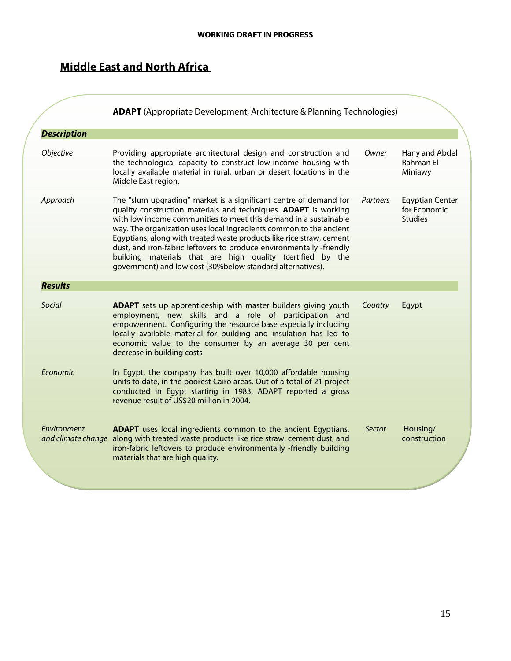# **Middle East and North Africa**

|                    | <b>ADAPT</b> (Appropriate Development, Architecture & Planning Technologies)                                                                                                                                                                                                                                                                                                                                                                                                                                                                               |          |                                                          |
|--------------------|------------------------------------------------------------------------------------------------------------------------------------------------------------------------------------------------------------------------------------------------------------------------------------------------------------------------------------------------------------------------------------------------------------------------------------------------------------------------------------------------------------------------------------------------------------|----------|----------------------------------------------------------|
| <b>Description</b> |                                                                                                                                                                                                                                                                                                                                                                                                                                                                                                                                                            |          |                                                          |
| Objective          | Providing appropriate architectural design and construction and<br>the technological capacity to construct low-income housing with<br>locally available material in rural, urban or desert locations in the<br>Middle East region.                                                                                                                                                                                                                                                                                                                         | Owner    | Hany and Abdel<br>Rahman El<br>Miniawy                   |
| Approach           | The "slum upgrading" market is a significant centre of demand for<br>quality construction materials and techniques. ADAPT is working<br>with low income communities to meet this demand in a sustainable<br>way. The organization uses local ingredients common to the ancient<br>Egyptians, along with treated waste products like rice straw, cement<br>dust, and iron-fabric leftovers to produce environmentally -friendly<br>building materials that are high quality (certified by the<br>government) and low cost (30%below standard alternatives). | Partners | <b>Egyptian Center</b><br>for Economic<br><b>Studies</b> |
| <b>Results</b>     |                                                                                                                                                                                                                                                                                                                                                                                                                                                                                                                                                            |          |                                                          |
| Social             | <b>ADAPT</b> sets up apprenticeship with master builders giving youth<br>employment, new skills and a role of participation and<br>empowerment. Configuring the resource base especially including<br>locally available material for building and insulation has led to<br>economic value to the consumer by an average 30 per cent<br>decrease in building costs                                                                                                                                                                                          | Country  | Egypt                                                    |
| Economic           | In Egypt, the company has built over 10,000 affordable housing<br>units to date, in the poorest Cairo areas. Out of a total of 21 project<br>conducted in Egypt starting in 1983, ADAPT reported a gross<br>revenue result of US\$20 million in 2004.                                                                                                                                                                                                                                                                                                      |          |                                                          |
| Environment        | <b>ADAPT</b> uses local ingredients common to the ancient Egyptians,<br>and climate change along with treated waste products like rice straw, cement dust, and<br>iron-fabric leftovers to produce environmentally -friendly building<br>materials that are high quality.                                                                                                                                                                                                                                                                                  | Sector   | Housing/<br>construction                                 |